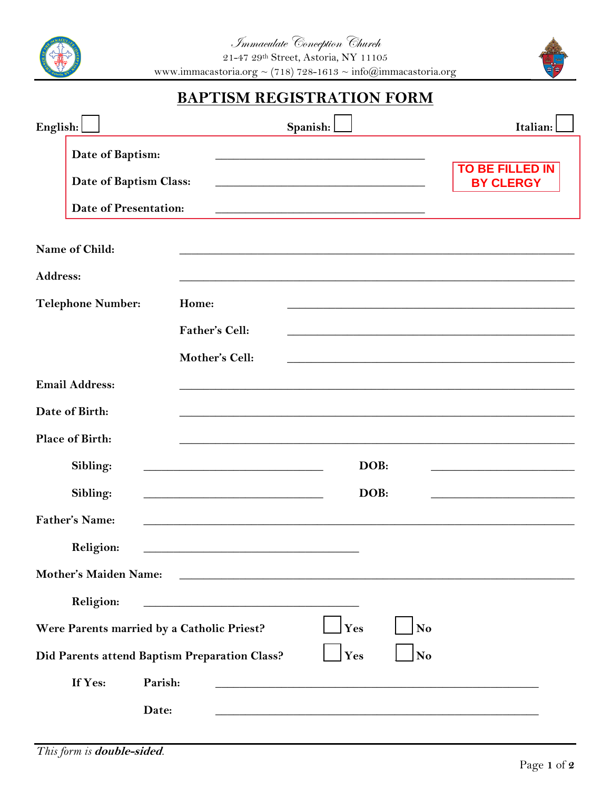



## **BAPTISM REGISTRATION FORM**

| English:                                                   |                              |                                                                                                                       | Spanish:                                                                                                              | Italian:                                   |  |  |
|------------------------------------------------------------|------------------------------|-----------------------------------------------------------------------------------------------------------------------|-----------------------------------------------------------------------------------------------------------------------|--------------------------------------------|--|--|
|                                                            | Date of Baptism:             |                                                                                                                       |                                                                                                                       |                                            |  |  |
|                                                            | Date of Baptism Class:       |                                                                                                                       | <u> 1989 - Johann John Stoff, deutscher Stoffen und der Stoffen und der Stoffen und der Stoffen und der Stoffen</u>   | <b>TO BE FILLED IN</b><br><b>BY CLERGY</b> |  |  |
|                                                            | <b>Date of Presentation:</b> |                                                                                                                       |                                                                                                                       |                                            |  |  |
|                                                            | Name of Child:               |                                                                                                                       |                                                                                                                       |                                            |  |  |
| <b>Address:</b>                                            |                              |                                                                                                                       |                                                                                                                       |                                            |  |  |
| <b>Telephone Number:</b>                                   |                              | Home:                                                                                                                 |                                                                                                                       |                                            |  |  |
|                                                            |                              | <b>Father's Cell:</b>                                                                                                 |                                                                                                                       |                                            |  |  |
|                                                            |                              | Mother's Cell:                                                                                                        |                                                                                                                       |                                            |  |  |
|                                                            | <b>Email Address:</b>        |                                                                                                                       |                                                                                                                       |                                            |  |  |
|                                                            | Date of Birth:               |                                                                                                                       |                                                                                                                       |                                            |  |  |
|                                                            | Place of Birth:              |                                                                                                                       |                                                                                                                       |                                            |  |  |
|                                                            | Sibling:                     | <u> 1989 - Johann Harry Harry Harry Harry Harry Harry Harry Harry Harry Harry Harry Harry Harry Harry Harry Harry</u> | DOB:                                                                                                                  |                                            |  |  |
|                                                            | Sibling:                     | <u> 1990 - Johann John Stoff, deutscher Stoffen und der Stoffen und der Stoffen und der Stoffen und der Stoffen</u>   | DOB:                                                                                                                  |                                            |  |  |
|                                                            | <b>Father's Name:</b>        |                                                                                                                       |                                                                                                                       |                                            |  |  |
|                                                            | Religion:                    |                                                                                                                       |                                                                                                                       |                                            |  |  |
|                                                            | Mother's Maiden Name:        |                                                                                                                       |                                                                                                                       |                                            |  |  |
|                                                            | Religion:                    | <u> 1980 - Johann Barn, mars eta bainar eta baina eta baina eta baina eta baina eta baina eta baina eta baina e</u>   |                                                                                                                       |                                            |  |  |
| No<br>Were Parents married by a Catholic Priest?<br>Yes    |                              |                                                                                                                       |                                                                                                                       |                                            |  |  |
| No<br>Yes<br>Did Parents attend Baptism Preparation Class? |                              |                                                                                                                       |                                                                                                                       |                                            |  |  |
|                                                            | If Yes:                      | Parish:                                                                                                               | <u> 1999 - Johann Barbara, martin amerikan basar dan berasal dalam basas dalam basas dalam basas dalam basas dala</u> |                                            |  |  |
|                                                            |                              | Date:                                                                                                                 |                                                                                                                       |                                            |  |  |